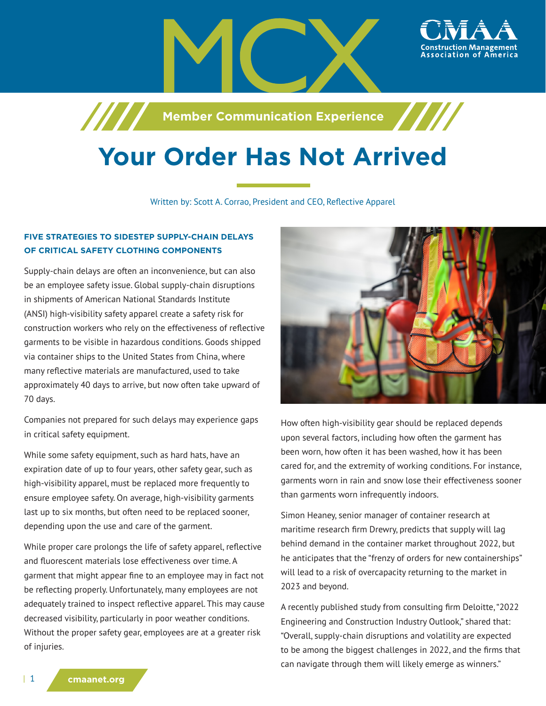

**Machim School School School School School School School School School School School School School School School** 

# **Your Order Has Not Arrived**

## Written by: Scott A. Corrao, President and CEO, Reflective Apparel

# **FIVE STRATEGIES TO SIDESTEP SUPPLY-CHAIN DELAYS OF CRITICAL SAFETY CLOTHING COMPONENTS**

Supply-chain delays are often an inconvenience, but can also be an employee safety issue. Global supply-chain disruptions in shipments of American National Standards Institute (ANSI) high-visibility safety apparel create a safety risk for construction workers who rely on the effectiveness of reflective garments to be visible in hazardous conditions. Goods shipped via container ships to the United States from China, where many reflective materials are manufactured, used to take approximately 40 days to arrive, but now often take upward of 70 days.

Companies not prepared for such delays may experience gaps in critical safety equipment.

While some safety equipment, such as hard hats, have an expiration date of up to four years, other safety gear, such as high-visibility apparel, must be replaced more frequently to ensure employee safety. On average, high-visibility garments last up to six months, but often need to be replaced sooner, depending upon the use and care of the garment.

While proper care prolongs the life of safety apparel, reflective and fluorescent materials lose effectiveness over time. A garment that might appear fine to an employee may in fact not be reflecting properly. Unfortunately, many employees are not adequately trained to inspect reflective apparel. This may cause decreased visibility, particularly in poor weather conditions. Without the proper safety gear, employees are at a greater risk of injuries.



How often high-visibility gear should be replaced depends upon several factors, including how often the garment has been worn, how often it has been washed, how it has been cared for, and the extremity of working conditions. For instance, garments worn in rain and snow lose their effectiveness sooner than garments worn infrequently indoors.

Simon Heaney, senior manager of container research at maritime research firm Drewry, predicts that supply will lag behind demand in the container market throughout 2022, but he anticipates that the "frenzy of orders for new containerships" will lead to a risk of overcapacity returning to the market in 2023 and beyond.

A recently published study from consulting firm Deloitte, "2022 Engineering and Construction Industry Outlook," shared that: "Overall, supply-chain disruptions and volatility are expected to be among the biggest challenges in 2022, and the firms that can navigate through them will likely emerge as winners."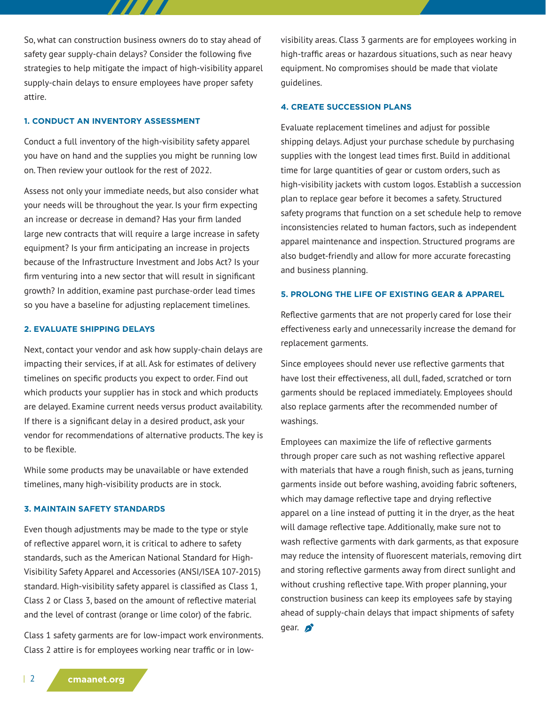So, what can construction business owners do to stay ahead of safety gear supply-chain delays? Consider the following five strategies to help mitigate the impact of high-visibility apparel supply-chain delays to ensure employees have proper safety attire.

7777

#### **1. CONDUCT AN INVENTORY ASSESSMENT**

Conduct a full inventory of the high-visibility safety apparel you have on hand and the supplies you might be running low on. Then review your outlook for the rest of 2022.

Assess not only your immediate needs, but also consider what your needs will be throughout the year. Is your firm expecting an increase or decrease in demand? Has your firm landed large new contracts that will require a large increase in safety equipment? Is your firm anticipating an increase in projects because of the Infrastructure Investment and Jobs Act? Is your firm venturing into a new sector that will result in significant growth? In addition, examine past purchase-order lead times so you have a baseline for adjusting replacement timelines.

### **2. EVALUATE SHIPPING DELAYS**

Next, contact your vendor and ask how supply-chain delays are impacting their services, if at all. Ask for estimates of delivery timelines on specific products you expect to order. Find out which products your supplier has in stock and which products are delayed. Examine current needs versus product availability. If there is a significant delay in a desired product, ask your vendor for recommendations of alternative products. The key is to be flexible.

While some products may be unavailable or have extended timelines, many high-visibility products are in stock.

#### **3. MAINTAIN SAFETY STANDARDS**

Even though adjustments may be made to the type or style of reflective apparel worn, it is critical to adhere to safety standards, such as the American National Standard for High-Visibility Safety Apparel and Accessories (ANSI/ISEA 107-2015) standard. High-visibility safety apparel is classified as Class 1, Class 2 or Class 3, based on the amount of reflective material and the level of contrast (orange or lime color) of the fabric.

Class 1 safety garments are for low-impact work environments. Class 2 attire is for employees working near traffic or in lowvisibility areas. Class 3 garments are for employees working in high-traffic areas or hazardous situations, such as near heavy equipment. No compromises should be made that violate guidelines.

## **4. CREATE SUCCESSION PLANS**

Evaluate replacement timelines and adjust for possible shipping delays. Adjust your purchase schedule by purchasing supplies with the longest lead times first. Build in additional time for large quantities of gear or custom orders, such as high-visibility jackets with custom logos. Establish a succession plan to replace gear before it becomes a safety. Structured safety programs that function on a set schedule help to remove inconsistencies related to human factors, such as independent apparel maintenance and inspection. Structured programs are also budget-friendly and allow for more accurate forecasting and business planning.

## **5. PROLONG THE LIFE OF EXISTING GEAR & APPAREL**

Reflective garments that are not properly cared for lose their effectiveness early and unnecessarily increase the demand for replacement garments.

Since employees should never use reflective garments that have lost their effectiveness, all dull, faded, scratched or torn garments should be replaced immediately. Employees should also replace garments after the recommended number of washings.

Employees can maximize the life of reflective garments through proper care such as not washing reflective apparel with materials that have a rough finish, such as jeans, turning garments inside out before washing, avoiding fabric softeners, which may damage reflective tape and drying reflective apparel on a line instead of putting it in the dryer, as the heat will damage reflective tape. Additionally, make sure not to wash reflective garments with dark garments, as that exposure may reduce the intensity of fluorescent materials, removing dirt and storing reflective garments away from direct sunlight and without crushing reflective tape. With proper planning, your construction business can keep its employees safe by staying ahead of supply-chain delays that impact shipments of safety gear.  $\sum$